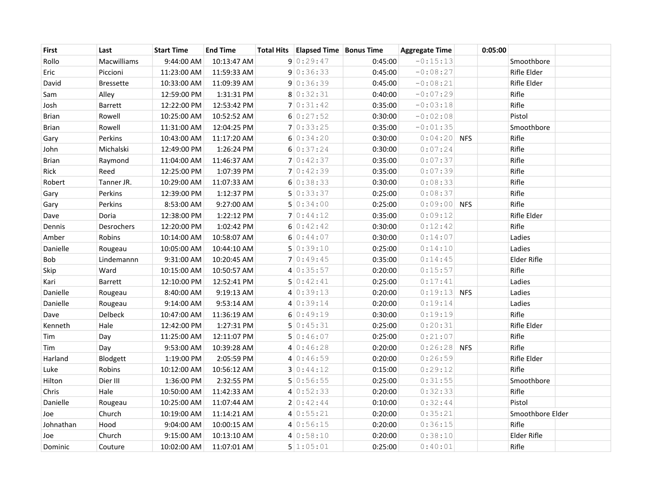| First        | Last             | <b>Start Time</b> | <b>End Time</b> | Total Hits   Elapsed Time   Bonus Time |         | <b>Aggregate Time</b> |            | 0:05:00 |                    |  |
|--------------|------------------|-------------------|-----------------|----------------------------------------|---------|-----------------------|------------|---------|--------------------|--|
| Rollo        | Macwilliams      | 9:44:00 AM        | 10:13:47 AM     | 90:29:47                               | 0:45:00 | $-0:15:13$            |            |         | Smoothbore         |  |
| Eric         | Piccioni         | 11:23:00 AM       | 11:59:33 AM     | 90:36:33                               | 0:45:00 | $-0:08:27$            |            |         | Rifle Elder        |  |
| David        | <b>Bressette</b> | 10:33:00 AM       | 11:09:39 AM     | 90:36:39                               | 0:45:00 | $-0:08:21$            |            |         | Rifle Elder        |  |
| Sam          | Alley            | 12:59:00 PM       | 1:31:31 PM      | 80:32:31                               | 0:40:00 | $-0:07:29$            |            |         | Rifle              |  |
| Josh         | Barrett          | 12:22:00 PM       | 12:53:42 PM     | 70:31:42                               | 0:35:00 | $-0:03:18$            |            |         | Rifle              |  |
| <b>Brian</b> | Rowell           | 10:25:00 AM       | 10:52:52 AM     | 60:27:52                               | 0:30:00 | $-0:02:08$            |            |         | Pistol             |  |
| <b>Brian</b> | Rowell           | 11:31:00 AM       | 12:04:25 PM     | 7 0:33:25                              | 0:35:00 | $-0:01:35$            |            |         | Smoothbore         |  |
| Gary         | Perkins          | 10:43:00 AM       | 11:17:20 AM     | 60:34:20                               | 0:30:00 | $0:04:20$ NFS         |            |         | Rifle              |  |
| John         | Michalski        | 12:49:00 PM       | 1:26:24 PM      | 60:37:24                               | 0:30:00 | 0:07:24               |            |         | Rifle              |  |
| <b>Brian</b> | Raymond          | 11:04:00 AM       | 11:46:37 AM     | 70:42:37                               | 0:35:00 | 0:07:37               |            |         | Rifle              |  |
| Rick         | Reed             | 12:25:00 PM       | 1:07:39 PM      | 70:42:39                               | 0:35:00 | 0:07:39               |            |         | Rifle              |  |
| Robert       | Tanner JR.       | 10:29:00 AM       | 11:07:33 AM     | 60:38:33                               | 0:30:00 | 0:08:33               |            |         | Rifle              |  |
| Gary         | Perkins          | 12:39:00 PM       | 1:12:37 PM      | 50:33:37                               | 0:25:00 | 0:08:37               |            |         | Rifle              |  |
| Gary         | Perkins          | 8:53:00 AM        | 9:27:00 AM      | 50:34:00                               | 0:25:00 | $0:09:00$ NFS         |            |         | Rifle              |  |
| Dave         | Doria            | 12:38:00 PM       | 1:22:12 PM      | 70:44:12                               | 0:35:00 | 0:09:12               |            |         | Rifle Elder        |  |
| Dennis       | Desrochers       | 12:20:00 PM       | 1:02:42 PM      | 60:32:42                               | 0:30:00 | 0:12:42               |            |         | Rifle              |  |
| Amber        | Robins           | 10:14:00 AM       | 10:58:07 AM     | 60:34:07                               | 0:30:00 | 0:14:07               |            |         | Ladies             |  |
| Danielle     | Rougeau          | 10:05:00 AM       | 10:44:10 AM     | 50:39:10                               | 0:25:00 | 0:14:10               |            |         | Ladies             |  |
| Bob          | Lindemannn       | 9:31:00 AM        | 10:20:45 AM     | 70:49:45                               | 0:35:00 | 0:14:45               |            |         | <b>Elder Rifle</b> |  |
| Skip         | Ward             | 10:15:00 AM       | 10:50:57 AM     | 40:35:57                               | 0:20:00 | 0:15:57               |            |         | Rifle              |  |
| Kari         | Barrett          | 12:10:00 PM       | 12:52:41 PM     | 50:32:41                               | 0:25:00 | 0:17:41               |            |         | Ladies             |  |
| Danielle     | Rougeau          | 8:40:00 AM        | 9:19:13 AM      | 40:39:13                               | 0:20:00 | 0:19:13               | <b>NFS</b> |         | Ladies             |  |
| Danielle     | Rougeau          | 9:14:00 AM        | 9:53:14 AM      | 40:39:14                               | 0:20:00 | 0:19:14               |            |         | Ladies             |  |
| Dave         | Delbeck          | 10:47:00 AM       | 11:36:19 AM     | 60:39:19                               | 0:30:00 | 0:19:19               |            |         | Rifle              |  |
| Kenneth      | Hale             | 12:42:00 PM       | 1:27:31 PM      | 50:35:31                               | 0:25:00 | 0:20:31               |            |         | Rifle Elder        |  |
| Tim          | Day              | 11:25:00 AM       | 12:11:07 PM     | 50:36:07                               | 0:25:00 | 0:21:07               |            |         | Rifle              |  |
| Tim          | Day              | 9:53:00 AM        | 10:39:28 AM     | 40:36:28                               | 0:20:00 | 0:26:28               | <b>NFS</b> |         | Rifle              |  |
| Harland      | Blodgett         | 1:19:00 PM        | 2:05:59 PM      | 40:36:59                               | 0:20:00 | 0:26:59               |            |         | Rifle Elder        |  |
| Luke         | Robins           | 10:12:00 AM       | 10:56:12 AM     | 30:34:12                               | 0:15:00 | 0:29:12               |            |         | Rifle              |  |
| Hilton       | Dier III         | 1:36:00 PM        | 2:32:55 PM      | 5 0:56:55                              | 0:25:00 | 0:31:55               |            |         | Smoothbore         |  |
| Chris        | Hale             | 10:50:00 AM       | 11:42:33 AM     | 40:52:33                               | 0:20:00 | 0:32:33               |            |         | Rifle              |  |
| Danielle     | Rougeau          | 10:25:00 AM       | 11:07:44 AM     | 20:32:44                               | 0:10:00 | 0:32:44               |            |         | Pistol             |  |
| Joe          | Church           | 10:19:00 AM       | 11:14:21 AM     | 40:55:21                               | 0:20:00 | 0:35:21               |            |         | Smoothbore Elder   |  |
| Johnathan    | Hood             | 9:04:00 AM        | 10:00:15 AM     | 40:56:15                               | 0:20:00 | 0:36:15               |            |         | Rifle              |  |
| Joe          | Church           | 9:15:00 AM        | 10:13:10 AM     | 40:58:10                               | 0:20:00 | 0:38:10               |            |         | Elder Rifle        |  |
| Dominic      | Couture          | 10:02:00 AM       | 11:07:01 AM     | 5 1:05:01                              | 0:25:00 | 0:40:01               |            |         | Rifle              |  |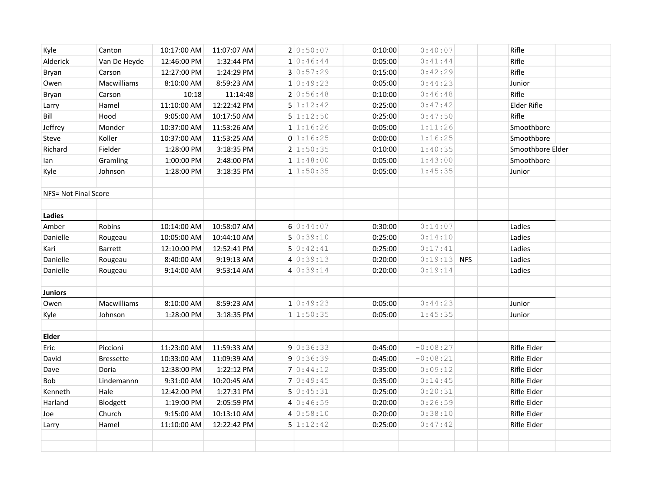| Kyle                        | Canton           | 10:17:00 AM | 11:07:07 AM | 2 0:50:07 | 0:10:00 | 0:40:07       | Rifle            |  |
|-----------------------------|------------------|-------------|-------------|-----------|---------|---------------|------------------|--|
| Alderick                    | Van De Heyde     | 12:46:00 PM | 1:32:44 PM  | 10:46:44  | 0:05:00 | 0:41:44       | Rifle            |  |
| Bryan                       | Carson           | 12:27:00 PM | 1:24:29 PM  | 30:57:29  | 0:15:00 | 0:42:29       | Rifle            |  |
| Owen                        | Macwilliams      | 8:10:00 AM  | 8:59:23 AM  | 10:49:23  | 0:05:00 | 0:44:23       | Junior           |  |
| Bryan                       | Carson           | 10:18       | 11:14:48    | 20:56:48  | 0:10:00 | 0:46:48       | Rifle            |  |
| Larry                       | Hamel            | 11:10:00 AM | 12:22:42 PM | 5 1:12:42 | 0:25:00 | 0:47:42       | Elder Rifle      |  |
| Bill                        | Hood             | 9:05:00 AM  | 10:17:50 AM | 5 1:12:50 | 0:25:00 | 0:47:50       | Rifle            |  |
| Jeffrey                     | Monder           | 10:37:00 AM | 11:53:26 AM | 1 1:16:26 | 0:05:00 | 1:11:26       | Smoothbore       |  |
| Steve                       | Koller           | 10:37:00 AM | 11:53:25 AM | 0 1:16:25 | 0:00:00 | 1:16:25       | Smoothbore       |  |
| Richard                     | Fielder          | 1:28:00 PM  | 3:18:35 PM  | 2 1:50:35 | 0:10:00 | 1:40:35       | Smoothbore Elder |  |
| lan                         | Gramling         | 1:00:00 PM  | 2:48:00 PM  | 1 1:48:00 | 0:05:00 | 1:43:00       | Smoothbore       |  |
| Kyle                        | Johnson          | 1:28:00 PM  | 3:18:35 PM  | 1 1:50:35 | 0:05:00 | 1:45:35       | Junior           |  |
|                             |                  |             |             |           |         |               |                  |  |
| <b>NFS= Not Final Score</b> |                  |             |             |           |         |               |                  |  |
|                             |                  |             |             |           |         |               |                  |  |
| Ladies                      |                  |             |             |           |         |               |                  |  |
| Amber                       | Robins           | 10:14:00 AM | 10:58:07 AM | 60:34:07  | 0:30:00 | 0:14:07       | Ladies           |  |
| Danielle                    | Rougeau          | 10:05:00 AM | 10:44:10 AM | 50:39:10  | 0:25:00 | 0:14:10       | Ladies           |  |
| Kari                        | Barrett          | 12:10:00 PM | 12:52:41 PM | 50:32:41  | 0:25:00 | 0:17:41       | Ladies           |  |
| Danielle                    | Rougeau          | 8:40:00 AM  | 9:19:13 AM  | 40:39:13  | 0:20:00 | $0:19:13$ NFS | Ladies           |  |
| Danielle                    | Rougeau          | 9:14:00 AM  | 9:53:14 AM  | 40:39:14  | 0:20:00 | 0:19:14       | Ladies           |  |
|                             |                  |             |             |           |         |               |                  |  |
| <b>Juniors</b>              |                  |             |             |           |         |               |                  |  |
| Owen                        | Macwilliams      | 8:10:00 AM  | 8:59:23 AM  | 10:49:23  | 0:05:00 | 0:44:23       | Junior           |  |
| Kyle                        | Johnson          | 1:28:00 PM  | 3:18:35 PM  | 1 1:50:35 | 0:05:00 | 1:45:35       | Junior           |  |
|                             |                  |             |             |           |         |               |                  |  |
| <b>Elder</b>                |                  |             |             |           |         |               |                  |  |
| Eric                        | Piccioni         | 11:23:00 AM | 11:59:33 AM | 90:36:33  | 0:45:00 | $-0:08:27$    | Rifle Elder      |  |
| David                       | <b>Bressette</b> | 10:33:00 AM | 11:09:39 AM | 90:36:39  | 0:45:00 | $-0:08:21$    | Rifle Elder      |  |
| Dave                        | Doria            | 12:38:00 PM | 1:22:12 PM  | 70:44:12  | 0:35:00 | 0:09:12       | Rifle Elder      |  |
| Bob                         | Lindemannn       | 9:31:00 AM  | 10:20:45 AM | 70:49:45  | 0:35:00 | 0:14:45       | Rifle Elder      |  |
| Kenneth                     | Hale             | 12:42:00 PM | 1:27:31 PM  | 50:35:31  | 0:25:00 | 0:20:31       | Rifle Elder      |  |
| Harland                     | Blodgett         | 1:19:00 PM  | 2:05:59 PM  | 40:36:59  | 0:20:00 | 0:26:59       | Rifle Elder      |  |
| Joe                         | Church           | 9:15:00 AM  | 10:13:10 AM | 40:58:10  | 0:20:00 | 0:38:10       | Rifle Elder      |  |
| Larry                       | Hamel            | 11:10:00 AM | 12:22:42 PM | 5 1:12:42 | 0:25:00 | 0:47:42       | Rifle Elder      |  |
|                             |                  |             |             |           |         |               |                  |  |
|                             |                  |             |             |           |         |               |                  |  |